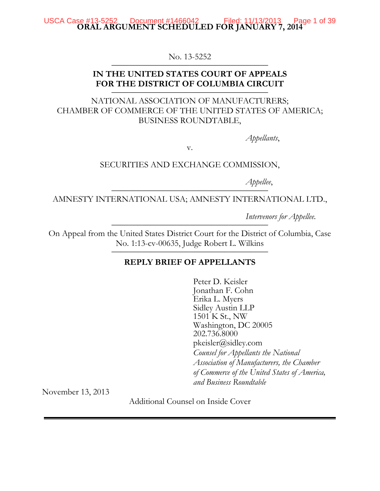#### **ORAL ARGUMENT SCHEDULED FOR JANUARY 7, 2014** USCA Case #13-5252 Document #1466042 Filed: 11/13/2013 Page 1 of 39

No. 13-5252

# **IN THE UNITED STATES COURT OF APPEALS** FOR THE DISTRICT OF COLUMBIA CIRCUIT

NATIONAL ASSOCIATION OF MANUFACTURERS; CHAMBER OF COMMERCE OF THE UNITED STATES OF AMERICA; BUSINESS ROUNDTABLE,

*Appellants*,

v.

SECURITIES AND EXCHANGE COMMISSION,

*Appellee*, \_\_\_\_\_\_\_\_\_\_\_\_\_\_\_\_\_\_\_\_\_\_\_\_\_\_\_\_\_\_\_\_\_\_\_\_

AMNESTY INTERNATIONAL USA; AMNESTY INTERNATIONAL LTD.,

*Intervenors for Appellee.* 

On Appeal from the United States District Court for the District of Columbia, Case No. 1:13-cv-00635, Judge Robert L. Wilkins

# **REPLY BRIEF OF APPELLANTS**

Peter D. Keisler Jonathan F. Cohn Erika L. Myers Sidley Austin LLP 1501 K St., NW Washington, DC 20005 202.736.8000 pkeisler@sidley.com *Counsel for Appellants the National Association of Manufacturers, the Chamber of Commerce of the United States of America, and Business Roundtable*

November 13, 2013

Additional Counsel on Inside Cover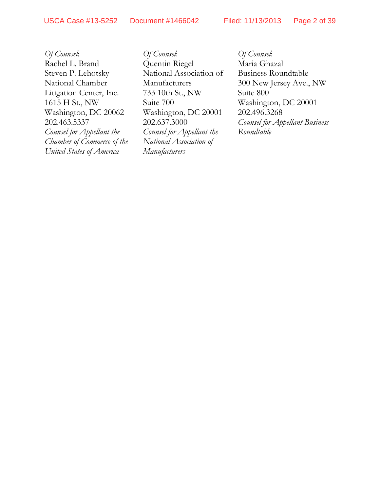*Of Counsel*: Rachel L. Brand Steven P. Lehotsky National Chamber Litigation Center, Inc. 1615 H St., NW Washington, DC 20062 202.463.5337 *Counsel for Appellant the Chamber of Commerce of the United States of America*

*Of Counsel*: Quentin Riegel National Association of Manufacturers 733 10th St., NW Suite 700 Washington, DC 20001 202.637.3000 *Counsel for Appellant the National Association of Manufacturers*

*Of Counsel*: Maria Ghazal Business Roundtable 300 New Jersey Ave., NW Suite 800 Washington, DC 20001 202.496.3268 *Counsel for Appellant Business Roundtable*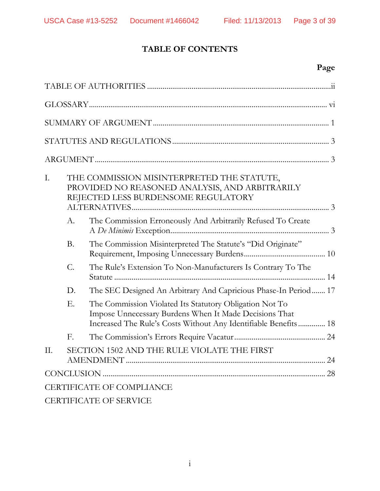# **TABLE OF CONTENTS**

# **Page**

| I.  |           | THE COMMISSION MISINTERPRETED THE STATUTE,<br>PROVIDED NO REASONED ANALYSIS, AND ARBITRARILY<br>REJECTED LESS BURDENSOME REGULATORY                                                  |  |
|-----|-----------|--------------------------------------------------------------------------------------------------------------------------------------------------------------------------------------|--|
|     | A.        | The Commission Erroneously And Arbitrarily Refused To Create                                                                                                                         |  |
|     | <b>B.</b> | The Commission Misinterpreted The Statute's "Did Originate"                                                                                                                          |  |
|     | C.        | The Rule's Extension To Non-Manufacturers Is Contrary To The                                                                                                                         |  |
|     | D.        | The SEC Designed An Arbitrary And Capricious Phase-In Period 17                                                                                                                      |  |
|     | Ε.        | The Commission Violated Its Statutory Obligation Not To<br>Impose Unnecessary Burdens When It Made Decisions That<br>Increased The Rule's Costs Without Any Identifiable Benefits 18 |  |
|     | F.        |                                                                                                                                                                                      |  |
| II. |           | SECTION 1502 AND THE RULE VIOLATE THE FIRST                                                                                                                                          |  |
|     |           |                                                                                                                                                                                      |  |
|     |           | <b>CERTIFICATE OF COMPLIANCE</b>                                                                                                                                                     |  |
|     |           | <b>CERTIFICATE OF SERVICE</b>                                                                                                                                                        |  |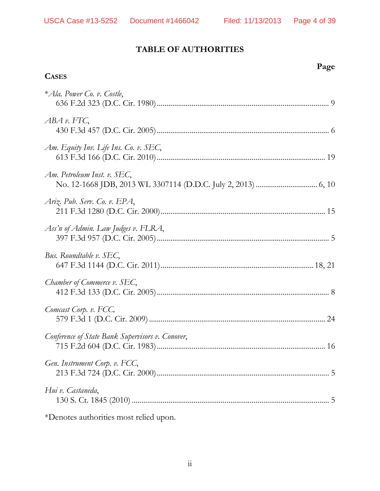**Page**

# **TABLE OF AUTHORITIES**

## **CASES**

| * Ala. Power Co. v. Costle,                      |
|--------------------------------------------------|
| $ABA \, v. FTC,$                                 |
| Am. Equity Inv. Life Ins. Co. v. SEC,            |
| Am. Petroleum Inst. v. SEC,                      |
| Ariz. Pub. Serv. Co. v. EPA,                     |
| Ass'n of Admin. Law Judges v. FLRA,              |
| Bus. Roundtable v. SEC,                          |
| Chamber of Commerce v. SEC,                      |
| Comcast Corp. v. FCC,                            |
| Conference of State Bank Supervisors v. Conover, |
| Gen. Instrument Corp. v. FCC,                    |
| Hui v. Castaneda,                                |
| *Denotes authorities most relied upon.           |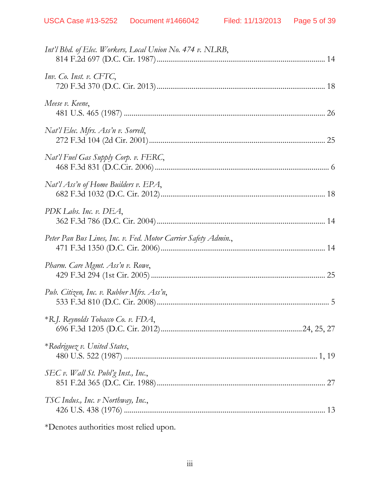| Int'l Bhd. of Elec. Workers, Local Union No. 474 v. NLRB,      |  |
|----------------------------------------------------------------|--|
| Inv. Co. Inst. v. CFTC,                                        |  |
| Meese v. Keene,                                                |  |
| Nat'l Elec. Mfrs. Ass'n v. Sorrell,                            |  |
| Nat'l Fuel Gas Supply Corp. v. FERC,                           |  |
| Nat'l Ass'n of Home Builders v. EPA,                           |  |
| PDK Labs. Inc. v. DEA,                                         |  |
| Peter Pan Bus Lines, Inc. v. Fed. Motor Carrier Safety Admin., |  |
| Pharm. Care Mgmt. Ass'n v. Rowe,                               |  |
| Pub. Citizen, Inc. v. Rubber Mfrs. Ass'n,                      |  |
| *R.J. Reynolds Tobacco Co. v. FDA,                             |  |
| *Rodriguez v. United States,                                   |  |
| SEC v. Wall St. Publ'g Inst., Inc.,                            |  |
| TSC Indus., Inc. v Northway, Inc.,                             |  |
|                                                                |  |

\*Denotes authorities most relied upon.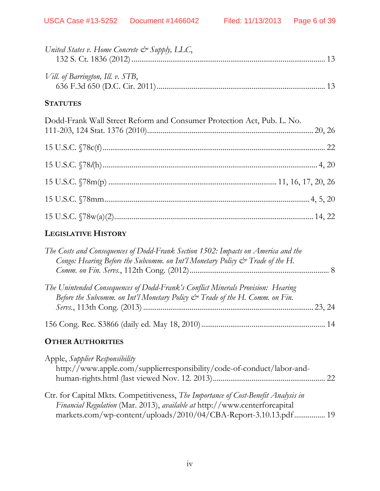| United States v. Home Concrete & Supply, LLC,                          |  |
|------------------------------------------------------------------------|--|
| Vill. of Barrington, Ill. v. STB,                                      |  |
| <b>STATUTES</b>                                                        |  |
| Dodd-Frank Wall Street Reform and Consumer Protection Act, Pub. L. No. |  |
|                                                                        |  |
|                                                                        |  |
|                                                                        |  |
|                                                                        |  |
|                                                                        |  |

# **LEGISLATIVE HISTORY**

| The Costs and Consequences of Dodd-Frank Section 1502: Impacts on America and the<br>Congo: Hearing Before the Subcomm. on Int'l Monetary Policy & Trade of the H.             |  |
|--------------------------------------------------------------------------------------------------------------------------------------------------------------------------------|--|
|                                                                                                                                                                                |  |
| The Unintended Consequences of Dodd-Frank's Conflict Minerals Provision: Hearing<br>Before the Subcomm. on Int'l Monetary Policy $\mathcal{Q}^*$ Trade of the H. Comm. on Fin. |  |
|                                                                                                                                                                                |  |
|                                                                                                                                                                                |  |
| <b>OTHER AUTHORITIES</b>                                                                                                                                                       |  |
|                                                                                                                                                                                |  |

| Apple, Supplier Responsibility                                                                                                                                   |  |
|------------------------------------------------------------------------------------------------------------------------------------------------------------------|--|
| http://www.apple.com/supplierresponsibility/code-of-conduct/labor-and-                                                                                           |  |
|                                                                                                                                                                  |  |
| Ctr. for Capital Mkts. Competitiveness, The Importance of Cost-Benefit Analysis in<br>Financial Regulation (Mar. 2013), available at http://www.centerforcapital |  |
| markets.com/wp-content/uploads/2010/04/CBA-Report-3.10.13.pdf 19                                                                                                 |  |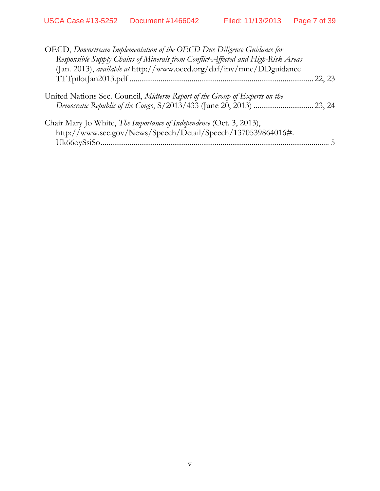| 22, 23 |
|--------|
|        |
|        |
|        |
|        |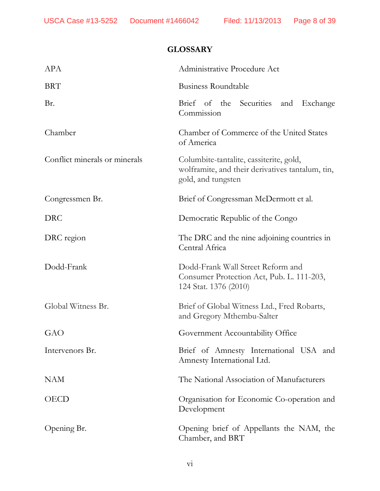# **GLOSSARY**

| <b>APA</b>                    | Administrative Procedure Act                                                                                      |
|-------------------------------|-------------------------------------------------------------------------------------------------------------------|
| <b>BRT</b>                    | Business Roundtable                                                                                               |
| Br.                           | Brief of the Securities and<br>Exchange<br>Commission                                                             |
| Chamber                       | Chamber of Commerce of the United States<br>of America                                                            |
| Conflict minerals or minerals | Columbite-tantalite, cassiterite, gold,<br>wolframite, and their derivatives tantalum, tin,<br>gold, and tungsten |
| Congressmen Br.               | Brief of Congressman McDermott et al.                                                                             |
| <b>DRC</b>                    | Democratic Republic of the Congo                                                                                  |
| DRC region                    | The DRC and the nine adjoining countries in<br>Central Africa                                                     |
| Dodd-Frank                    | Dodd-Frank Wall Street Reform and<br>Consumer Protection Act, Pub. L. 111-203,<br>124 Stat. 1376 (2010)           |
| Global Witness Br.            | Brief of Global Witness Ltd., Fred Robarts,<br>and Gregory Mthembu-Salter                                         |
| GAO                           | Government Accountability Office                                                                                  |
| Intervenors Br.               | Brief of Amnesty International USA and<br>Amnesty International Ltd.                                              |
| <b>NAM</b>                    | The National Association of Manufacturers                                                                         |
| <b>OECD</b>                   | Organisation for Economic Co-operation and<br>Development                                                         |
| Opening Br.                   | Opening brief of Appellants the NAM, the<br>Chamber, and BRT                                                      |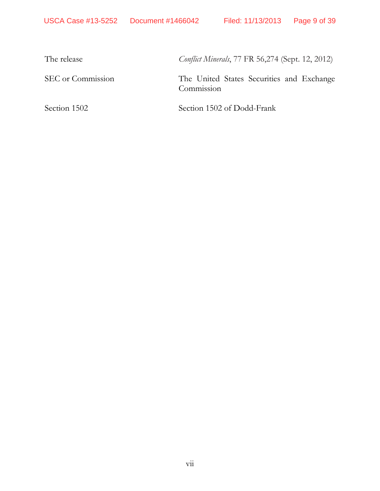The release *Conflict Minerals*, 77 FR 56,274 (Sept. 12, 2012)

SEC or Commission The United States Securities and Exchange Commission

Section 1502 Section 1502 of Dodd-Frank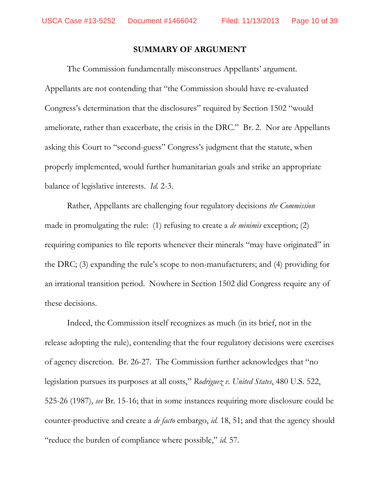#### **SUMMARY OF ARGUMENT**

The Commission fundamentally misconstrues Appellants' argument. Appellants are not contending that "the Commission should have re-evaluated Congress's determination that the disclosures" required by Section 1502 "would ameliorate, rather than exacerbate, the crisis in the DRC." Br. 2. Nor are Appellants asking this Court to "second-guess" Congress's judgment that the statute, when properly implemented, would further humanitarian goals and strike an appropriate balance of legislative interests. *Id.* 2-3.

Rather, Appellants are challenging four regulatory decisions *the Commission* made in promulgating the rule: (1) refusing to create a *de minimis* exception; (2) requiring companies to file reports whenever their minerals "may have originated" in the DRC; (3) expanding the rule's scope to non-manufacturers; and (4) providing for an irrational transition period. Nowhere in Section 1502 did Congress require any of these decisions.

Indeed, the Commission itself recognizes as much (in its brief, not in the release adopting the rule), contending that the four regulatory decisions were exercises of agency discretion. Br. 26-27. The Commission further acknowledges that "no legislation pursues its purposes at all costs," *Rodriguez v. United States*, 480 U.S. 522, 525-26 (1987), *see* Br. 15-16; that in some instances requiring more disclosure could be counter-productive and create a *de facto* embargo, *id.* 18, 51; and that the agency should "reduce the burden of compliance where possible," *id.* 57.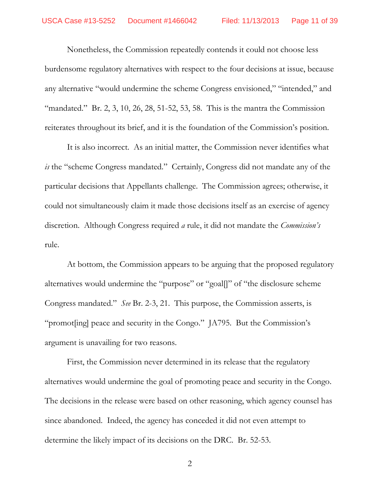Nonetheless, the Commission repeatedly contends it could not choose less burdensome regulatory alternatives with respect to the four decisions at issue, because any alternative "would undermine the scheme Congress envisioned," "intended," and "mandated." Br. 2, 3, 10, 26, 28, 51-52, 53, 58. This is the mantra the Commission reiterates throughout its brief, and it is the foundation of the Commission's position.

It is also incorrect. As an initial matter, the Commission never identifies what *is* the "scheme Congress mandated." Certainly, Congress did not mandate any of the particular decisions that Appellants challenge. The Commission agrees; otherwise, it could not simultaneously claim it made those decisions itself as an exercise of agency discretion. Although Congress required *a* rule, it did not mandate the *Commission's*  rule.

At bottom, the Commission appears to be arguing that the proposed regulatory alternatives would undermine the "purpose" or "goal[]" of "the disclosure scheme Congress mandated." *See* Br. 2-3, 21. This purpose, the Commission asserts, is "promot[ing] peace and security in the Congo." JA795. But the Commission's argument is unavailing for two reasons.

First, the Commission never determined in its release that the regulatory alternatives would undermine the goal of promoting peace and security in the Congo. The decisions in the release were based on other reasoning, which agency counsel has since abandoned. Indeed, the agency has conceded it did not even attempt to determine the likely impact of its decisions on the DRC. Br. 52-53.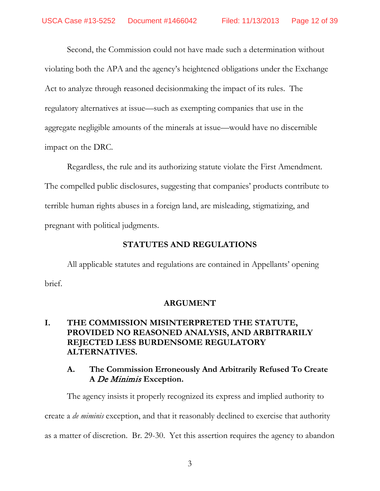Second, the Commission could not have made such a determination without violating both the APA and the agency's heightened obligations under the Exchange Act to analyze through reasoned decisionmaking the impact of its rules. The regulatory alternatives at issue—such as exempting companies that use in the aggregate negligible amounts of the minerals at issue—would have no discernible impact on the DRC.

Regardless, the rule and its authorizing statute violate the First Amendment. The compelled public disclosures, suggesting that companies' products contribute to terrible human rights abuses in a foreign land, are misleading, stigmatizing, and pregnant with political judgments.

# **STATUTES AND REGULATIONS**

All applicable statutes and regulations are contained in Appellants' opening brief.

# **ARGUMENT**

# **I. THE COMMISSION MISINTERPRETED THE STATUTE, PROVIDED NO REASONED ANALYSIS, AND ARBITRARILY REJECTED LESS BURDENSOME REGULATORY ALTERNATIVES.**

# **A. The Commission Erroneously And Arbitrarily Refused To Create A** De Minimis **Exception.**

The agency insists it properly recognized its express and implied authority to create a *de miminis* exception, and that it reasonably declined to exercise that authority as a matter of discretion. Br. 29-30. Yet this assertion requires the agency to abandon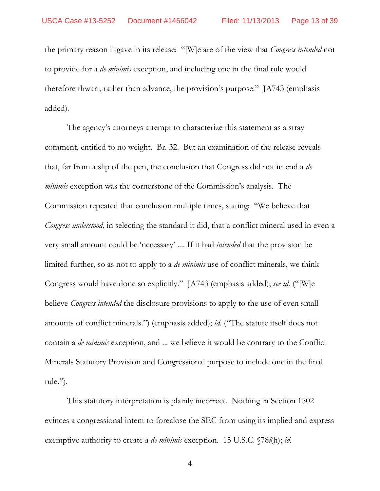the primary reason it gave in its release: "[W]e are of the view that *Congress intended* not to provide for a *de minimis* exception, and including one in the final rule would therefore thwart, rather than advance, the provision's purpose." JA743 (emphasis added)*.*

The agency's attorneys attempt to characterize this statement as a stray comment, entitled to no weight. Br. 32. But an examination of the release reveals that, far from a slip of the pen, the conclusion that Congress did not intend a *de minimis* exception was the cornerstone of the Commission's analysis. The Commission repeated that conclusion multiple times, stating: "We believe that *Congress understood*, in selecting the standard it did, that a conflict mineral used in even a very small amount could be 'necessary' .... If it had *intended* that the provision be limited further, so as not to apply to a *de minimis* use of conflict minerals, we think Congress would have done so explicitly." JA743 (emphasis added); *see id.* ("[W]e believe *Congress intended* the disclosure provisions to apply to the use of even small amounts of conflict minerals.") (emphasis added); *id.* ("The statute itself does not contain a *de minimis* exception, and ... we believe it would be contrary to the Conflict Minerals Statutory Provision and Congressional purpose to include one in the final rule.").

This statutory interpretation is plainly incorrect. Nothing in Section 1502 evinces a congressional intent to foreclose the SEC from using its implied and express exemptive authority to create a *de minimis* exception. 15 U.S.C. §78*l*(h); *id.*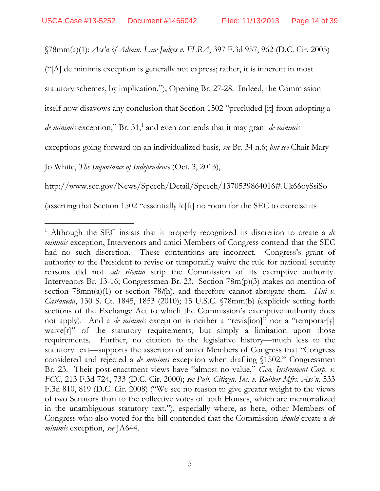§78mm(a)(1); *Ass'n of Admin. Law Judges v. FLRA*, 397 F.3d 957, 962 (D.C. Cir. 2005)

("[A] de minimis exception is generally not express; rather, it is inherent in most

statutory schemes, by implication."); Opening Br. 27-28. Indeed, the Commission

itself now disavows any conclusion that Section 1502 "precluded [it] from adopting a

*de minimis* exception," Br. 3[1](#page-13-0),<sup>1</sup> and even contends that it may grant *de minimis* 

exceptions going forward on an individualized basis, *see* Br. 34 n.6; *but see* Chair Mary

Jo White, *The Importance of Independence* (Oct. 3, 2013),

http://www.sec.gov/News/Speech/Detail/Speech/1370539864016#.Uk66oySsiSo

(asserting that Section 1502 "essentially le[ft] no room for the SEC to exercise its

<span id="page-13-0"></span> <sup>1</sup> Although the SEC insists that it properly recognized its discretion to create a *de minimis* exception, Intervenors and amici Members of Congress contend that the SEC had no such discretion. These contentions are incorrect. Congress's grant of authority to the President to revise or temporarily waive the rule for national security reasons did not *sub silentio* strip the Commission of its exemptive authority. Intervenors Br. 13-16; Congressmen Br. 23. Section 78m(p)(3) makes no mention of section 78mm(a)(1) or section 78*l*(h), and therefore cannot abrogate them. *Hui v. Castaneda*, 130 S. Ct. 1845, 1853 (2010); 15 U.S.C. §78mm(b) (explicitly setting forth sections of the Exchange Act to which the Commission's exemptive authority does not apply). And a *de minimis* exception is neither a "revis[ion]" nor a "temporar[y] waive[r]" of the statutory requirements, but simply a limitation upon those requirements.Further, no citation to the legislative history—much less to the statutory text—supports the assertion of amici Members of Congress that "Congress considered and rejected a *de minimis* exception when drafting §1502." Congressmen Br. 23. Their post-enactment views have "almost no value," *Gen. Instrument Corp. v. FCC*, 213 F.3d 724, 733 (D.C. Cir. 2000); *see Pub. Citizen, Inc. v. Rubber Mfrs. Ass'n*, 533 F.3d 810, 819 (D.C. Cir. 2008) ("We see no reason to give greater weight to the views of two Senators than to the collective votes of both Houses, which are memorialized in the unambiguous statutory text."), especially where, as here, other Members of Congress who also voted for the bill contended that the Commission *should* create a *de minimis* exception, *see* JA644.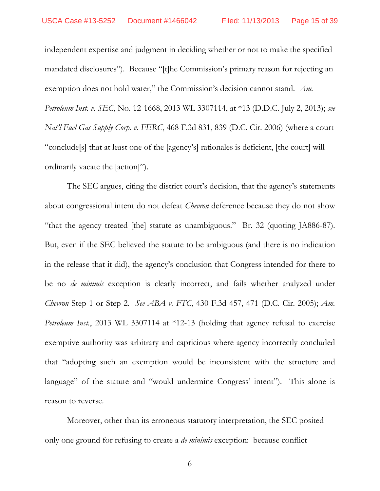independent expertise and judgment in deciding whether or not to make the specified mandated disclosures"). Because "[t]he Commission's primary reason for rejecting an exemption does not hold water," the Commission's decision cannot stand. *Am. Petroleum Inst. v. SEC*, No. 12-1668, 2013 WL 3307114, at \*13 (D.D.C. July 2, 2013); *see Nat'l Fuel Gas Supply Corp. v. FERC*, 468 F.3d 831, 839 (D.C. Cir. 2006) (where a court "conclude[s] that at least one of the [agency's] rationales is deficient, [the court] will ordinarily vacate the [action]").

The SEC argues, citing the district court's decision, that the agency's statements about congressional intent do not defeat *Chevron* deference because they do not show "that the agency treated [the] statute as unambiguous." Br. 32 (quoting JA886-87). But, even if the SEC believed the statute to be ambiguous (and there is no indication in the release that it did), the agency's conclusion that Congress intended for there to be no *de minimis* exception is clearly incorrect, and fails whether analyzed under *Chevron* Step 1 or Step 2. *See ABA v. FTC*, 430 F.3d 457, 471 (D.C. Cir. 2005); *Am. Petroleum Inst.*, 2013 WL 3307114 at \*12-13 (holding that agency refusal to exercise exemptive authority was arbitrary and capricious where agency incorrectly concluded that "adopting such an exemption would be inconsistent with the structure and language" of the statute and "would undermine Congress' intent"). This alone is reason to reverse.

Moreover, other than its erroneous statutory interpretation, the SEC posited only one ground for refusing to create a *de minimis* exception: because conflict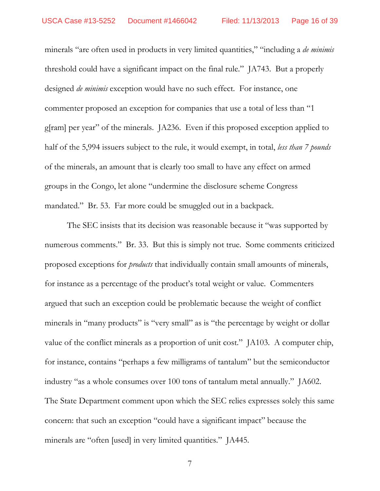minerals "are often used in products in very limited quantities," "including a *de minimis*  threshold could have a significant impact on the final rule." JA743. But a properly designed *de minimis* exception would have no such effect. For instance, one commenter proposed an exception for companies that use a total of less than "1 g[ram] per year" of the minerals. JA236. Even if this proposed exception applied to half of the 5,994 issuers subject to the rule, it would exempt, in total, *less than 7 pounds* of the minerals, an amount that is clearly too small to have any effect on armed groups in the Congo, let alone "undermine the disclosure scheme Congress mandated." Br. 53. Far more could be smuggled out in a backpack.

The SEC insists that its decision was reasonable because it "was supported by numerous comments." Br. 33. But this is simply not true. Some comments criticized proposed exceptions for *products* that individually contain small amounts of minerals, for instance as a percentage of the product's total weight or value. Commenters argued that such an exception could be problematic because the weight of conflict minerals in "many products" is "very small" as is "the percentage by weight or dollar value of the conflict minerals as a proportion of unit cost." JA103. A computer chip, for instance, contains "perhaps a few milligrams of tantalum" but the semiconductor industry "as a whole consumes over 100 tons of tantalum metal annually." JA602. The State Department comment upon which the SEC relies expresses solely this same concern: that such an exception "could have a significant impact" because the minerals are "often [used] in very limited quantities." JA445.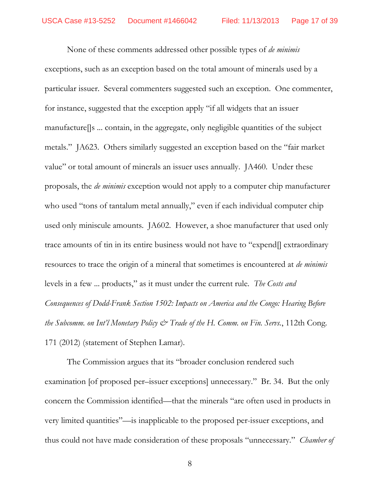None of these comments addressed other possible types of *de minimis* exceptions, such as an exception based on the total amount of minerals used by a particular issuer. Several commenters suggested such an exception. One commenter, for instance, suggested that the exception apply "if all widgets that an issuer manufacture[]s ... contain, in the aggregate, only negligible quantities of the subject metals." JA623. Others similarly suggested an exception based on the "fair market value" or total amount of minerals an issuer uses annually. JA460. Under these proposals, the *de minimis* exception would not apply to a computer chip manufacturer who used "tons of tantalum metal annually," even if each individual computer chip used only miniscule amounts. JA602. However, a shoe manufacturer that used only trace amounts of tin in its entire business would not have to "expend[] extraordinary resources to trace the origin of a mineral that sometimes is encountered at *de minimis* levels in a few ... products," as it must under the current rule. *The Costs and Consequences of Dodd-Frank Section 1502: Impacts on America and the Congo: Hearing Before the Subcomm. on Int'l Monetary Policy & Trade of the H. Comm. on Fin. Servs.*, 112th Cong. 171 (2012) (statement of Stephen Lamar).

The Commission argues that its "broader conclusion rendered such examination [of proposed per–issuer exceptions] unnecessary." Br. 34. But the only concern the Commission identified—that the minerals "are often used in products in very limited quantities"—is inapplicable to the proposed per-issuer exceptions, and thus could not have made consideration of these proposals "unnecessary." *Chamber of*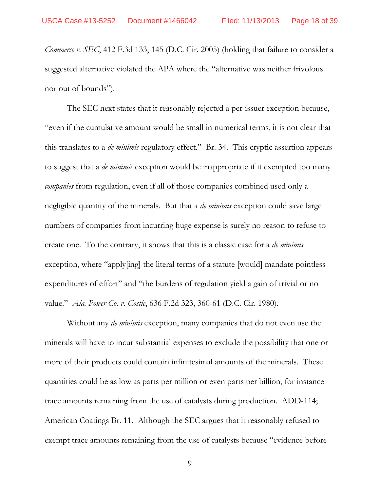*Commerce v. SEC*, 412 F.3d 133, 145 (D.C. Cir. 2005) (holding that failure to consider a suggested alternative violated the APA where the "alternative was neither frivolous nor out of bounds").

The SEC next states that it reasonably rejected a per-issuer exception because, "even if the cumulative amount would be small in numerical terms, it is not clear that this translates to a *de minimis* regulatory effect." Br. 34. This cryptic assertion appears to suggest that a *de minimis* exception would be inappropriate if it exempted too many *companies* from regulation, even if all of those companies combined used only a negligible quantity of the minerals. But that a *de minimis* exception could save large numbers of companies from incurring huge expense is surely no reason to refuse to create one. To the contrary, it shows that this is a classic case for a *de minimis*  exception, where "apply[ing] the literal terms of a statute [would] mandate pointless expenditures of effort" and "the burdens of regulation yield a gain of trivial or no value." *Ala. Power Co. v. Costle*, 636 F.2d 323, 360-61 (D.C. Cir. 1980).

Without any *de minimis* exception, many companies that do not even use the minerals will have to incur substantial expenses to exclude the possibility that one or more of their products could contain infinitesimal amounts of the minerals. These quantities could be as low as parts per million or even parts per billion, for instance trace amounts remaining from the use of catalysts during production. ADD-114; American Coatings Br. 11. Although the SEC argues that it reasonably refused to exempt trace amounts remaining from the use of catalysts because "evidence before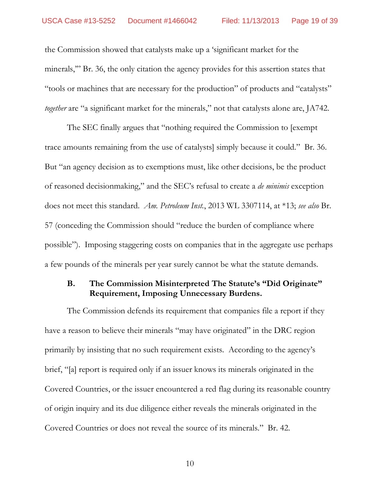the Commission showed that catalysts make up a 'significant market for the minerals," Br. 36, the only citation the agency provides for this assertion states that "tools or machines that are necessary for the production" of products and "catalysts" *together* are "a significant market for the minerals," not that catalysts alone are, JA742.

The SEC finally argues that "nothing required the Commission to [exempt trace amounts remaining from the use of catalysts] simply because it could." Br. 36. But "an agency decision as to exemptions must, like other decisions, be the product of reasoned decisionmaking," and the SEC's refusal to create a *de minimis* exception does not meet this standard. *Am. Petroleum Inst.*, 2013 WL 3307114, at \*13; *see also* Br. 57 (conceding the Commission should "reduce the burden of compliance where possible"). Imposing staggering costs on companies that in the aggregate use perhaps a few pounds of the minerals per year surely cannot be what the statute demands.

# **B. The Commission Misinterpreted The Statute's "Did Originate" Requirement, Imposing Unnecessary Burdens.**

The Commission defends its requirement that companies file a report if they have a reason to believe their minerals "may have originated" in the DRC region primarily by insisting that no such requirement exists. According to the agency's brief, "[a] report is required only if an issuer knows its minerals originated in the Covered Countries, or the issuer encountered a red flag during its reasonable country of origin inquiry and its due diligence either reveals the minerals originated in the Covered Countries or does not reveal the source of its minerals." Br. 42.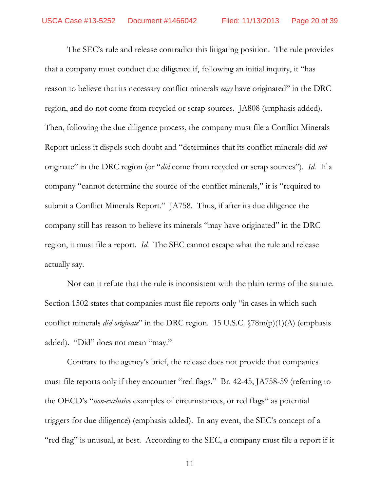The SEC's rule and release contradict this litigating position. The rule provides that a company must conduct due diligence if, following an initial inquiry, it "has reason to believe that its necessary conflict minerals *may* have originated" in the DRC region, and do not come from recycled or scrap sources. JA808 (emphasis added). Then, following the due diligence process, the company must file a Conflict Minerals Report unless it dispels such doubt and "determines that its conflict minerals did *not*  originate" in the DRC region (or "*did* come from recycled or scrap sources"). *Id.* If a company "cannot determine the source of the conflict minerals," it is "required to submit a Conflict Minerals Report." JA758. Thus, if after its due diligence the company still has reason to believe its minerals "may have originated" in the DRC region, it must file a report. *Id.* The SEC cannot escape what the rule and release actually say.

Nor can it refute that the rule is inconsistent with the plain terms of the statute. Section 1502 states that companies must file reports only "in cases in which such conflict minerals *did originate*" in the DRC region. 15 U.S.C. §78m(p)(1)(A) (emphasis added). "Did" does not mean "may."

Contrary to the agency's brief, the release does not provide that companies must file reports only if they encounter "red flags." Br. 42-45; JA758-59 (referring to the OECD's "*non-exclusive* examples of circumstances, or red flags" as potential triggers for due diligence) (emphasis added). In any event, the SEC's concept of a "red flag" is unusual, at best. According to the SEC, a company must file a report if it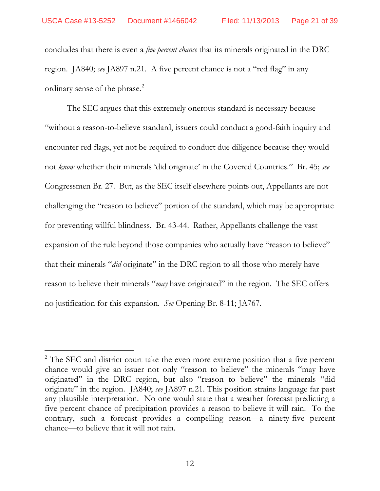concludes that there is even a *five percent chance* that its minerals originated in the DRC region. JA840; *see* JA897 n.21. A five percent chance is not a "red flag" in any ordinary sense of the phrase.<sup>[2](#page-20-0)</sup>

The SEC argues that this extremely onerous standard is necessary because "without a reason-to-believe standard, issuers could conduct a good-faith inquiry and encounter red flags, yet not be required to conduct due diligence because they would not *know* whether their minerals 'did originate' in the Covered Countries." Br. 45; *see* Congressmen Br. 27. But, as the SEC itself elsewhere points out, Appellants are not challenging the "reason to believe" portion of the standard, which may be appropriate for preventing willful blindness. Br. 43-44. Rather, Appellants challenge the vast expansion of the rule beyond those companies who actually have "reason to believe" that their minerals "*did* originate" in the DRC region to all those who merely have reason to believe their minerals "*may* have originated" in the region. The SEC offers no justification for this expansion. *See* Opening Br. 8-11; JA767.

<span id="page-20-0"></span><sup>&</sup>lt;sup>2</sup> The SEC and district court take the even more extreme position that a five percent chance would give an issuer not only "reason to believe" the minerals "may have originated" in the DRC region, but also "reason to believe" the minerals "did originate" in the region. JA840; *see* JA897 n.21. This position strains language far past any plausible interpretation. No one would state that a weather forecast predicting a five percent chance of precipitation provides a reason to believe it will rain. To the contrary, such a forecast provides a compelling reason—a ninety-five percent chance—to believe that it will not rain.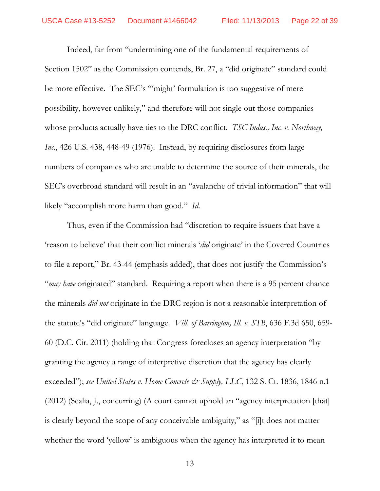Indeed, far from "undermining one of the fundamental requirements of Section 1502" as the Commission contends, Br. 27, a "did originate" standard could be more effective. The SEC's '"might' formulation is too suggestive of mere possibility, however unlikely," and therefore will not single out those companies whose products actually have ties to the DRC conflict. *TSC Indus., Inc. v. Northway, Inc.*, 426 U.S. 438, 448-49 (1976). Instead, by requiring disclosures from large numbers of companies who are unable to determine the source of their minerals, the SEC's overbroad standard will result in an "avalanche of trivial information" that will likely "accomplish more harm than good." *Id.*

Thus, even if the Commission had "discretion to require issuers that have a 'reason to believe' that their conflict minerals '*did* originate' in the Covered Countries to file a report," Br. 43-44 (emphasis added), that does not justify the Commission's "*may have* originated" standard. Requiring a report when there is a 95 percent chance the minerals *did not* originate in the DRC region is not a reasonable interpretation of the statute's "did originate" language. *Vill. of Barrington, Ill. v. STB*, 636 F.3d 650, 659- 60 (D.C. Cir. 2011) (holding that Congress forecloses an agency interpretation "by granting the agency a range of interpretive discretion that the agency has clearly exceeded"); *see United States v. Home Concrete & Supply*, LLC, 132 S. Ct. 1836, 1846 n.1 (2012) (Scalia, J., concurring) (A court cannot uphold an "agency interpretation [that] is clearly beyond the scope of any conceivable ambiguity," as "[i]t does not matter whether the word 'yellow' is ambiguous when the agency has interpreted it to mean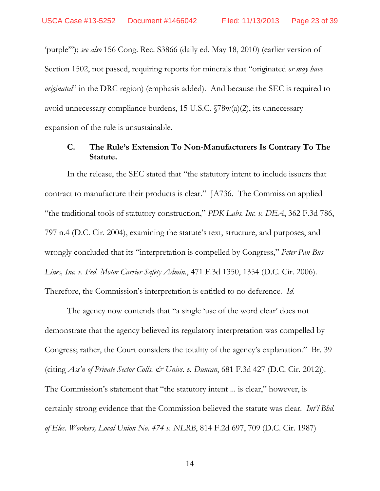'purple'"); *see also* 156 Cong. Rec. S3866 (daily ed. May 18, 2010) (earlier version of Section 1502, not passed, requiring reports for minerals that "originated *or may have originated*" in the DRC region) (emphasis added). And because the SEC is required to avoid unnecessary compliance burdens, 15 U.S.C. §78w(a)(2), its unnecessary expansion of the rule is unsustainable.

# **C. The Rule's Extension To Non-Manufacturers Is Contrary To The Statute.**

In the release, the SEC stated that "the statutory intent to include issuers that contract to manufacture their products is clear." JA736. The Commission applied "the traditional tools of statutory construction," *PDK Labs. Inc. v. DEA*, 362 F.3d 786, 797 n.4 (D.C. Cir. 2004), examining the statute's text, structure, and purposes, and wrongly concluded that its "interpretation is compelled by Congress," *Peter Pan Bus Lines, Inc. v. Fed. Motor Carrier Safety Admin.*, 471 F.3d 1350, 1354 (D.C. Cir. 2006). Therefore, the Commission's interpretation is entitled to no deference. *Id*.

The agency now contends that "a single 'use of the word clear' does not demonstrate that the agency believed its regulatory interpretation was compelled by Congress; rather, the Court considers the totality of the agency's explanation." Br. 39 (citing *Ass'n of Private Sector Colls. & Univs. v. Duncan*, 681 F.3d 427 (D.C. Cir. 2012)). The Commission's statement that "the statutory intent ... is clear," however, is certainly strong evidence that the Commission believed the statute was clear. *Int'l Bhd. of Elec. Workers, Local Union No. 474 v. NLRB*, 814 F.2d 697, 709 (D.C. Cir. 1987)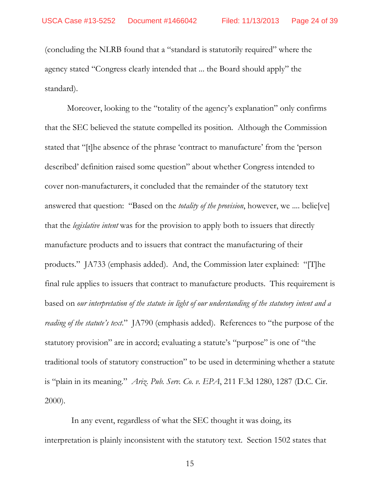(concluding the NLRB found that a "standard is statutorily required" where the agency stated "Congress clearly intended that ... the Board should apply" the standard).

Moreover, looking to the "totality of the agency's explanation" only confirms that the SEC believed the statute compelled its position. Although the Commission stated that "[t]he absence of the phrase 'contract to manufacture' from the 'person described' definition raised some question" about whether Congress intended to cover non-manufacturers, it concluded that the remainder of the statutory text answered that question: "Based on the *totality of the provision*, however, we .... belie[ve] that the *legislative intent* was for the provision to apply both to issuers that directly manufacture products and to issuers that contract the manufacturing of their products." JA733 (emphasis added). And, the Commission later explained: "[T]he final rule applies to issuers that contract to manufacture products. This requirement is based on *our interpretation of the statute in light of our understanding of the statutory intent and a reading of the statute's text*." JA790 (emphasis added). References to "the purpose of the statutory provision" are in accord; evaluating a statute's "purpose" is one of "the traditional tools of statutory construction" to be used in determining whether a statute is "plain in its meaning." *Ariz. Pub. Serv. Co. v. EPA*, 211 F.3d 1280, 1287 (D.C. Cir. 2000).

 In any event, regardless of what the SEC thought it was doing, its interpretation is plainly inconsistent with the statutory text. Section 1502 states that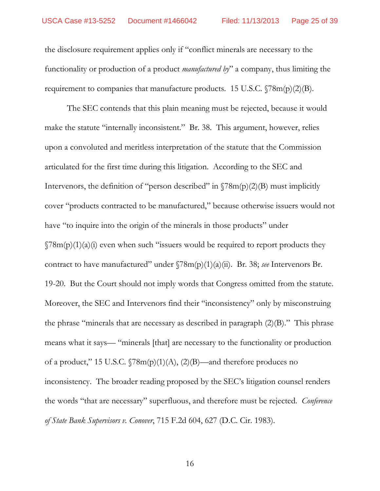the disclosure requirement applies only if "conflict minerals are necessary to the functionality or production of a product *manufactured by*" a company, thus limiting the requirement to companies that manufacture products. 15 U.S.C.  $\sqrt{78m(p)(2)(B)}$ .

The SEC contends that this plain meaning must be rejected, because it would make the statute "internally inconsistent." Br. 38. This argument, however, relies upon a convoluted and meritless interpretation of the statute that the Commission articulated for the first time during this litigation. According to the SEC and Intervenors, the definition of "person described" in  $\sqrt{78m(p)(2)}$  must implicitly cover "products contracted to be manufactured," because otherwise issuers would not have "to inquire into the origin of the minerals in those products" under  $\sqrt{78m(p)(1)(a)}$  even when such "issuers would be required to report products they contract to have manufactured" under §78m(p)(1)(a)(ii). Br. 38; *see* Intervenors Br. 19-20. But the Court should not imply words that Congress omitted from the statute. Moreover, the SEC and Intervenors find their "inconsistency" only by misconstruing the phrase "minerals that are necessary as described in paragraph (2)(B)." This phrase means what it says— "minerals [that] are necessary to the functionality or production of a product," 15 U.S.C.  $\sqrt{78m(p)(1)(A)}$ , (2)(B)—and therefore produces no inconsistency. The broader reading proposed by the SEC's litigation counsel renders the words "that are necessary" superfluous, and therefore must be rejected. *Conference of State Bank Supervisors v. Conover*, 715 F.2d 604, 627 (D.C. Cir. 1983).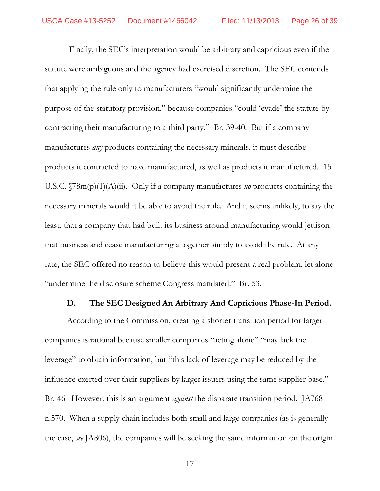Finally, the SEC's interpretation would be arbitrary and capricious even if the statute were ambiguous and the agency had exercised discretion. The SEC contends that applying the rule only to manufacturers "would significantly undermine the purpose of the statutory provision," because companies "could 'evade' the statute by contracting their manufacturing to a third party." Br. 39-40. But if a company manufactures *any* products containing the necessary minerals, it must describe products it contracted to have manufactured, as well as products it manufactured. 15 U.S.C. §78m(p)(1)(A)(ii). Only if a company manufactures *no* products containing the necessary minerals would it be able to avoid the rule. And it seems unlikely, to say the least, that a company that had built its business around manufacturing would jettison that business and cease manufacturing altogether simply to avoid the rule. At any rate, the SEC offered no reason to believe this would present a real problem, let alone "undermine the disclosure scheme Congress mandated." Br. 53.

#### **D. The SEC Designed An Arbitrary And Capricious Phase-In Period.**

According to the Commission, creating a shorter transition period for larger companies is rational because smaller companies "acting alone" "may lack the leverage" to obtain information, but "this lack of leverage may be reduced by the influence exerted over their suppliers by larger issuers using the same supplier base." Br. 46. However, this is an argument *against* the disparate transition period. JA768 n.570. When a supply chain includes both small and large companies (as is generally the case, *see* JA806), the companies will be seeking the same information on the origin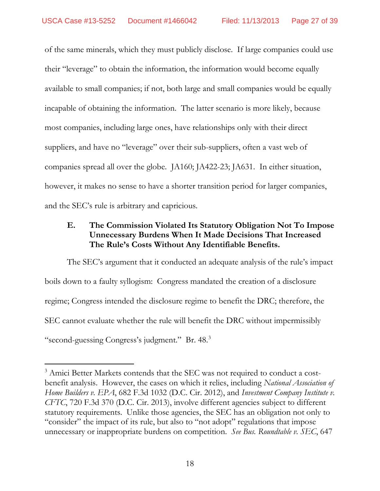of the same minerals, which they must publicly disclose. If large companies could use their "leverage" to obtain the information, the information would become equally available to small companies; if not, both large and small companies would be equally incapable of obtaining the information. The latter scenario is more likely, because most companies, including large ones, have relationships only with their direct suppliers, and have no "leverage" over their sub-suppliers, often a vast web of companies spread all over the globe. JA160; JA422-23; JA631. In either situation, however, it makes no sense to have a shorter transition period for larger companies, and the SEC's rule is arbitrary and capricious.

# **E. The Commission Violated Its Statutory Obligation Not To Impose Unnecessary Burdens When It Made Decisions That Increased The Rule's Costs Without Any Identifiable Benefits.**

The SEC's argument that it conducted an adequate analysis of the rule's impact boils down to a faulty syllogism: Congress mandated the creation of a disclosure regime; Congress intended the disclosure regime to benefit the DRC; therefore, the SEC cannot evaluate whether the rule will benefit the DRC without impermissibly "second-guessing Congress's judgment." Br. 48.[3](#page-26-0)

<span id="page-26-0"></span> $3$  Amici Better Markets contends that the SEC was not required to conduct a costbenefit analysis. However, the cases on which it relies, including *National Association of Home Builders v. EPA*, 682 F.3d 1032 (D.C. Cir. 2012), and *Investment Company Institute v. CFTC*, 720 F.3d 370 (D.C. Cir. 2013), involve different agencies subject to different statutory requirements. Unlike those agencies, the SEC has an obligation not only to "consider" the impact of its rule, but also to "not adopt" regulations that impose unnecessary or inappropriate burdens on competition. *See Bus. Roundtable v. SEC*, 647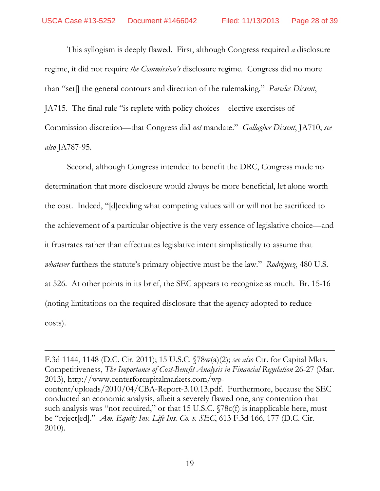This syllogism is deeply flawed. First, although Congress required *a* disclosure regime, it did not require *the Commission's* disclosure regime. Congress did no more than "set[] the general contours and direction of the rulemaking." *Paredes Dissent*, JA715. The final rule "is replete with policy choices—elective exercises of Commission discretion—that Congress did *not* mandate." *Gallagher Dissent*, JA710; *see also* JA787-95.

Second, although Congress intended to benefit the DRC, Congress made no determination that more disclosure would always be more beneficial, let alone worth the cost. Indeed, "[d]eciding what competing values will or will not be sacrificed to the achievement of a particular objective is the very essence of legislative choice—and it frustrates rather than effectuates legislative intent simplistically to assume that *whatever* furthers the statute's primary objective must be the law." *Rodriguez*, 480 U.S. at 526. At other points in its brief, the SEC appears to recognize as much. Br. 15-16 (noting limitations on the required disclosure that the agency adopted to reduce costs).

F.3d 1144, 1148 (D.C. Cir. 2011); 15 U.S.C. §78w(a)(2); *see also* Ctr. for Capital Mkts. Competitiveness, *The Importance of Cost-Benefit Analysis in Financial Regulation 26-27 (Mar.* 2013), http://www.centerforcapitalmarkets.com/wpcontent/uploads/2010/04/CBA-Report-3.10.13.pdf. Furthermore, because the SEC conducted an economic analysis, albeit a severely flawed one, any contention that such analysis was "not required," or that 15 U.S.C.  $\sqrt{78c(f)}$  is inapplicable here, must be "reject[ed]." *Am. Equity Inv. Life Ins. Co. v. SEC*, 613 F.3d 166, 177 (D.C. Cir. 2010).

 $\overline{a}$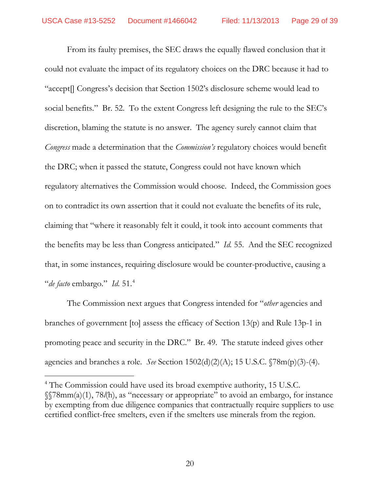From its faulty premises, the SEC draws the equally flawed conclusion that it could not evaluate the impact of its regulatory choices on the DRC because it had to "accept[] Congress's decision that Section 1502's disclosure scheme would lead to social benefits." Br. 52. To the extent Congress left designing the rule to the SEC's discretion, blaming the statute is no answer. The agency surely cannot claim that *Congress* made a determination that the *Commission's* regulatory choices would benefit the DRC; when it passed the statute, Congress could not have known which regulatory alternatives the Commission would choose. Indeed, the Commission goes on to contradict its own assertion that it could not evaluate the benefits of its rule, claiming that "where it reasonably felt it could, it took into account comments that the benefits may be less than Congress anticipated." *Id.* 55. And the SEC recognized that, in some instances, requiring disclosure would be counter-productive, causing a "*de facto* embargo." *Id.* 51.[4](#page-28-0)

The Commission next argues that Congress intended for "*other* agencies and branches of government [to] assess the efficacy of Section 13(p) and Rule 13p-1 in promoting peace and security in the DRC." Br. 49. The statute indeed gives other agencies and branches a role. *See* Section 1502(d)(2)(A); 15 U.S.C. §78m(p)(3)-(4).

<span id="page-28-0"></span><sup>4</sup> The Commission could have used its broad exemptive authority, 15 U.S.C. §§78mm(a)(1), 78*l*(h), as "necessary or appropriate" to avoid an embargo, for instance by exempting from due diligence companies that contractually require suppliers to use certified conflict-free smelters, even if the smelters use minerals from the region.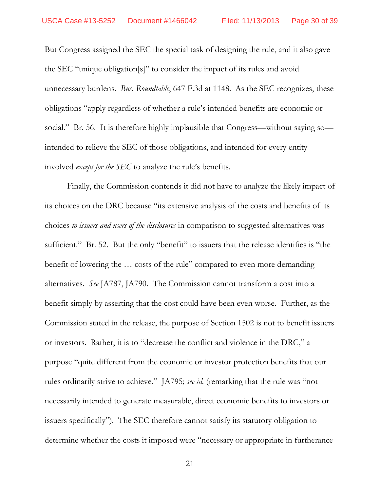But Congress assigned the SEC the special task of designing the rule, and it also gave the SEC "unique obligation[s]" to consider the impact of its rules and avoid unnecessary burdens. *Bus. Roundtable*, 647 F.3d at 1148. As the SEC recognizes, these obligations "apply regardless of whether a rule's intended benefits are economic or social." Br. 56. It is therefore highly implausible that Congress—without saying so intended to relieve the SEC of those obligations, and intended for every entity involved *except for the SEC* to analyze the rule's benefits.

Finally, the Commission contends it did not have to analyze the likely impact of its choices on the DRC because "its extensive analysis of the costs and benefits of its choices *to issuers and users of the disclosures* in comparison to suggested alternatives was sufficient." Br. 52. But the only "benefit" to issuers that the release identifies is "the benefit of lowering the … costs of the rule" compared to even more demanding alternatives. *See* JA787, JA790. The Commission cannot transform a cost into a benefit simply by asserting that the cost could have been even worse. Further, as the Commission stated in the release, the purpose of Section 1502 is not to benefit issuers or investors. Rather, it is to "decrease the conflict and violence in the DRC," a purpose "quite different from the economic or investor protection benefits that our rules ordinarily strive to achieve." JA795; *see id.* (remarking that the rule was "not necessarily intended to generate measurable, direct economic benefits to investors or issuers specifically"). The SEC therefore cannot satisfy its statutory obligation to determine whether the costs it imposed were "necessary or appropriate in furtherance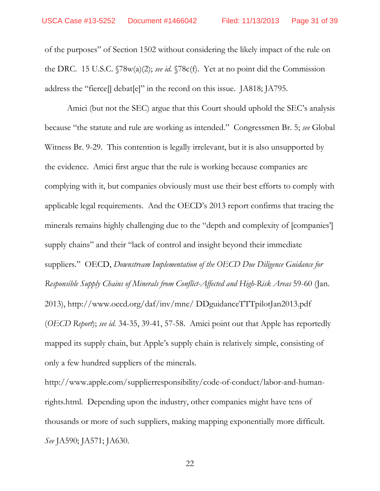of the purposes" of Section 1502 without considering the likely impact of the rule on the DRC. 15 U.S.C. §78w(a)(2); *see id.* §78c(f). Yet at no point did the Commission address the "fierce[] debat[e]" in the record on this issue. JA818; JA795.

Amici (but not the SEC) argue that this Court should uphold the SEC's analysis because "the statute and rule are working as intended." Congressmen Br. 5; *see* Global Witness Br. 9-29. This contention is legally irrelevant, but it is also unsupported by the evidence. Amici first argue that the rule is working because companies are complying with it, but companies obviously must use their best efforts to comply with applicable legal requirements. And the OECD's 2013 report confirms that tracing the minerals remains highly challenging due to the "depth and complexity of [companies'] supply chains" and their "lack of control and insight beyond their immediate suppliers." OECD, *Downstream Implementation of the OECD Due Diligence Guidance for Responsible Supply Chains of Minerals from Conflict-Affected and High-Risk Areas* 59-60 (Jan. 2013), http://www.oecd.org/daf/inv/mne/ DDguidanceTTTpilotJan2013.pdf (*OECD Report*); *see id.* 34-35, 39-41, 57-58. Amici point out that Apple has reportedly mapped its supply chain, but Apple's supply chain is relatively simple, consisting of only a few hundred suppliers of the minerals.

http://www.apple.com/supplierresponsibility/code-of-conduct/labor-and-humanrights.html. Depending upon the industry, other companies might have tens of thousands or more of such suppliers, making mapping exponentially more difficult. *See* JA590; JA571; JA630.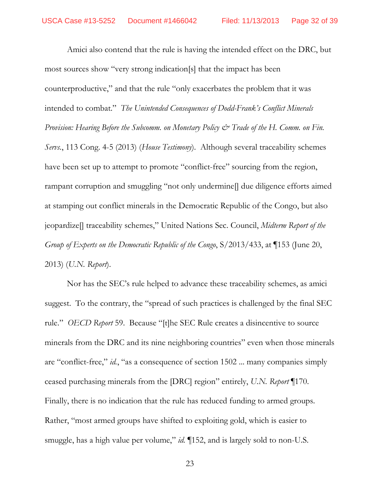Amici also contend that the rule is having the intended effect on the DRC, but most sources show "very strong indication[s] that the impact has been counterproductive," and that the rule "only exacerbates the problem that it was intended to combat." *The Unintended Consequences of Dodd-Frank's Conflict Minerals Provision: Hearing Before the Subcomm. on Monetary Policy*  $\mathcal O$  *Trade of the H. Comm. on Fin. Servs.*, 113 Cong. 4-5 (2013) (*House Testimony*). Although several traceability schemes have been set up to attempt to promote "conflict-free" sourcing from the region, rampant corruption and smuggling "not only undermine[] due diligence efforts aimed at stamping out conflict minerals in the Democratic Republic of the Congo, but also jeopardize[] traceability schemes," United Nations Sec. Council, *Midterm Report of the Group of Experts on the Democratic Republic of the Congo*, S/2013/433, at ¶153 (June 20, 2013) (*U.N. Report*).

Nor has the SEC's rule helped to advance these traceability schemes, as amici suggest. To the contrary, the "spread of such practices is challenged by the final SEC rule." *OECD Report* 59. Because "[t]he SEC Rule creates a disincentive to source minerals from the DRC and its nine neighboring countries" even when those minerals are "conflict-free," *id.*, "as a consequence of section 1502 ... many companies simply ceased purchasing minerals from the [DRC] region" entirely, *U.N. Report* ¶170. Finally, there is no indication that the rule has reduced funding to armed groups. Rather, "most armed groups have shifted to exploiting gold, which is easier to smuggle, has a high value per volume," *id.* ¶152, and is largely sold to non-U.S.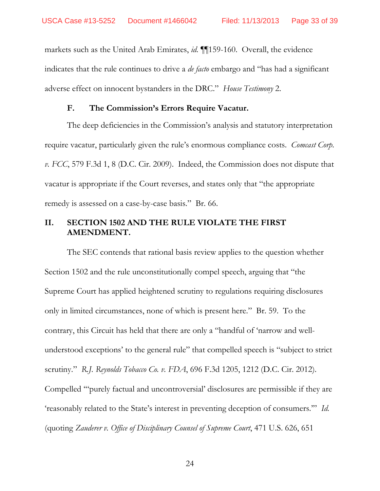markets such as the United Arab Emirates, *id.* ¶¶159-160. Overall, the evidence indicates that the rule continues to drive a *de facto* embargo and "has had a significant adverse effect on innocent bystanders in the DRC." *House Testimony* 2.

### **F. The Commission's Errors Require Vacatur.**

The deep deficiencies in the Commission's analysis and statutory interpretation require vacatur, particularly given the rule's enormous compliance costs. *Comcast Corp. v. FCC*, 579 F.3d 1, 8 (D.C. Cir. 2009). Indeed, the Commission does not dispute that vacatur is appropriate if the Court reverses, and states only that "the appropriate remedy is assessed on a case-by-case basis." Br. 66.

# **II. SECTION 1502 AND THE RULE VIOLATE THE FIRST AMENDMENT.**

The SEC contends that rational basis review applies to the question whether Section 1502 and the rule unconstitutionally compel speech, arguing that "the Supreme Court has applied heightened scrutiny to regulations requiring disclosures only in limited circumstances, none of which is present here." Br. 59. To the contrary, this Circuit has held that there are only a "handful of 'narrow and wellunderstood exceptions' to the general rule" that compelled speech is "subject to strict scrutiny." *R.J. Reynolds Tobacco Co. v. FDA*, 696 F.3d 1205, 1212 (D.C. Cir. 2012). Compelled '"purely factual and uncontroversial' disclosures are permissible if they are 'reasonably related to the State's interest in preventing deception of consumers.'" *Id.* (quoting *Zauderer v. Office of Disciplinary Counsel of Supreme Court*, 471 U.S. 626, 651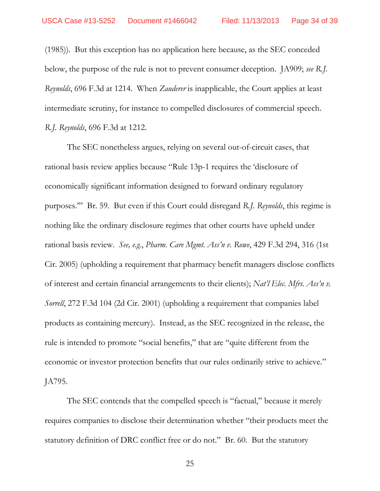(1985)). But this exception has no application here because, as the SEC conceded below, the purpose of the rule is not to prevent consumer deception. JA909; *see R.J. Reynolds*, 696 F.3d at 1214. When *Zauderer* is inapplicable, the Court applies at least intermediate scrutiny, for instance to compelled disclosures of commercial speech. *R.J. Reynolds*, 696 F.3d at 1212.

The SEC nonetheless argues, relying on several out-of-circuit cases, that rational basis review applies because "Rule 13p-1 requires the 'disclosure of economically significant information designed to forward ordinary regulatory purposes.'" Br. 59. But even if this Court could disregard *R.J. Reynolds*, this regime is nothing like the ordinary disclosure regimes that other courts have upheld under rational basis review. *See, e.g.*, *Pharm. Care Mgmt. Ass'n v. Rowe*, 429 F.3d 294, 316 (1st Cir. 2005) (upholding a requirement that pharmacy benefit managers disclose conflicts of interest and certain financial arrangements to their clients); *Nat'l Elec. Mfrs. Ass'n v. Sorrell*, 272 F.3d 104 (2d Cir. 2001) (upholding a requirement that companies label products as containing mercury). Instead, as the SEC recognized in the release, the rule is intended to promote "social benefits," that are "quite different from the economic or investor protection benefits that our rules ordinarily strive to achieve." JA795.

The SEC contends that the compelled speech is "factual," because it merely requires companies to disclose their determination whether "their products meet the statutory definition of DRC conflict free or do not." Br. 60. But the statutory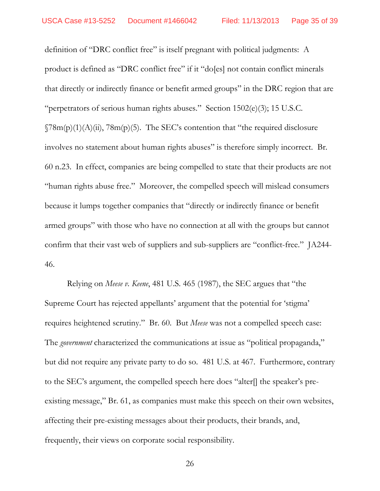definition of "DRC conflict free" is itself pregnant with political judgments: A product is defined as "DRC conflict free" if it "do[es] not contain conflict minerals that directly or indirectly finance or benefit armed groups" in the DRC region that are "perpetrators of serious human rights abuses." Section 1502(e)(3); 15 U.S.C.  $\gamma$ 8m(p)(1)(A)(ii), 78m(p)(5). The SEC's contention that "the required disclosure involves no statement about human rights abuses" is therefore simply incorrect. Br. 60 n.23. In effect, companies are being compelled to state that their products are not "human rights abuse free." Moreover, the compelled speech will mislead consumers because it lumps together companies that "directly or indirectly finance or benefit armed groups" with those who have no connection at all with the groups but cannot confirm that their vast web of suppliers and sub-suppliers are "conflict-free." JA244- 46.

Relying on *Meese v. Keene*, 481 U.S. 465 (1987), the SEC argues that "the Supreme Court has rejected appellants' argument that the potential for 'stigma' requires heightened scrutiny." Br. 60. But *Meese* was not a compelled speech case: The *government* characterized the communications at issue as "political propaganda," but did not require any private party to do so. 481 U.S. at 467. Furthermore, contrary to the SEC's argument, the compelled speech here does "alter[] the speaker's preexisting message," Br. 61, as companies must make this speech on their own websites, affecting their pre-existing messages about their products, their brands, and, frequently, their views on corporate social responsibility.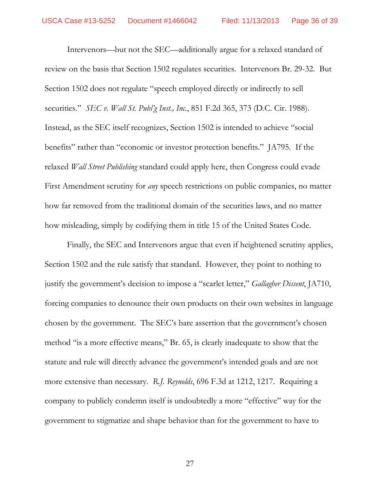Intervenors—but not the SEC—additionally argue for a relaxed standard of review on the basis that Section 1502 regulates securities. Intervenors Br. 29-32. But Section 1502 does not regulate "speech employed directly or indirectly to sell securities." *SEC v. Wall St. Publ'g Inst., Inc.*, 851 F.2d 365, 373 (D.C. Cir. 1988). Instead, as the SEC itself recognizes, Section 1502 is intended to achieve "social benefits" rather than "economic or investor protection benefits." JA795. If the relaxed *Wall Street Publishing* standard could apply here, then Congress could evade First Amendment scrutiny for *any* speech restrictions on public companies, no matter how far removed from the traditional domain of the securities laws, and no matter how misleading, simply by codifying them in title 15 of the United States Code.

Finally, the SEC and Intervenors argue that even if heightened scrutiny applies, Section 1502 and the rule satisfy that standard. However, they point to nothing to justify the government's decision to impose a "scarlet letter," *Gallagher Dissent*, JA710, forcing companies to denounce their own products on their own websites in language chosen by the government. The SEC's bare assertion that the government's chosen method "is a more effective means," Br. 65, is clearly inadequate to show that the statute and rule will directly advance the government's intended goals and are not more extensive than necessary. *R.J. Reynolds*, 696 F.3d at 1212, 1217. Requiring a company to publicly condemn itself is undoubtedly a more "effective" way for the government to stigmatize and shape behavior than for the government to have to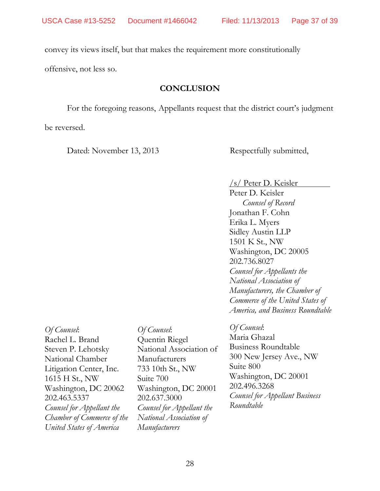convey its views itself, but that makes the requirement more constitutionally

offensive, not less so.

## **CONCLUSION**

For the foregoing reasons, Appellants request that the district court's judgment

be reversed.

Dated: November 13, 2013 Respectfully submitted,

### /s/ Peter D. Keisler

Peter D. Keisler *Counsel of Record* Jonathan F. Cohn Erika L. Myers Sidley Austin LLP 1501 K St., NW Washington, DC 20005 202.736.8027 *Counsel for Appellants the National Association of Manufacturers, the Chamber of Commerce of the United States of America, and Business Roundtable*

*Of Counsel*: Rachel L. Brand Steven P. Lehotsky National Chamber Litigation Center, Inc. 1615 H St., NW Washington, DC 20062 202.463.5337 *Counsel for Appellant the Chamber of Commerce of the United States of America*

*Of Counsel*: Quentin Riegel National Association of Manufacturers 733 10th St., NW Suite 700 Washington, DC 20001 202.637.3000 *Counsel for Appellant the National Association of Manufacturers*

## *Of Counsel*:

Maria Ghazal Business Roundtable 300 New Jersey Ave., NW Suite 800 Washington, DC 20001 202.496.3268 *Counsel for Appellant Business Roundtable*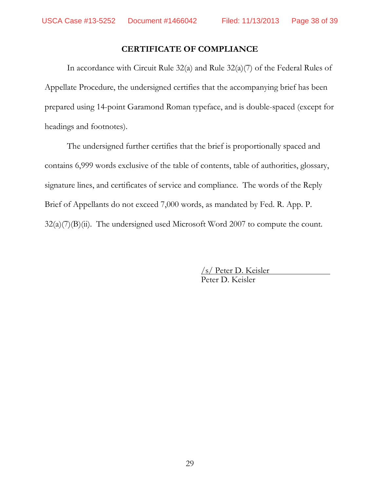# **CERTIFICATE OF COMPLIANCE**

In accordance with Circuit Rule 32(a) and Rule 32(a)(7) of the Federal Rules of Appellate Procedure, the undersigned certifies that the accompanying brief has been prepared using 14-point Garamond Roman typeface, and is double-spaced (except for headings and footnotes).

The undersigned further certifies that the brief is proportionally spaced and contains 6,999 words exclusive of the table of contents, table of authorities, glossary, signature lines, and certificates of service and compliance. The words of the Reply Brief of Appellants do not exceed 7,000 words, as mandated by Fed. R. App. P.  $32(a)(7)(B)(ii)$ . The undersigned used Microsoft Word 2007 to compute the count.

> /s/ Peter D. Keisler Peter D. Keisler